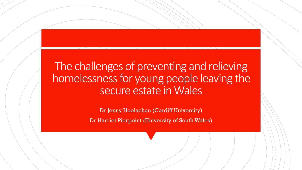## The challenges of preventing and relieving homelessness for young people leaving the secure estate in Wales

Dr Jenny Hoolachan (Cardiff University)

Dr Harriet Pierpoint (University of South Wales)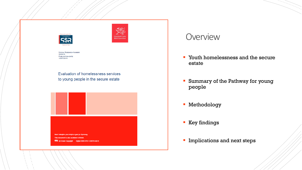

| OCIAL RESEARCH NUMBER:<br>0/2019     |  |
|--------------------------------------|--|
| <b>UBLICATION DATE:</b><br>0/07/2019 |  |

Evaluation of homelessness services to young people in the secure estate



Mae'r ddogfen yma hefyd ar gael y This document is also availa OCL © Crown Copyright Digital ISBN 978-1-83876-642-9

### **Overview**

- **T** Youth homelessness and the secure estate
- **Summary of the Pathway for young** people
- **Methodology**
- **Key findings**
- **Implications and next steps**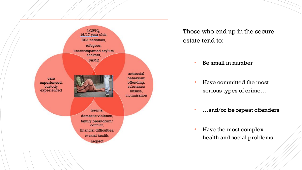

Those who end up in the secure estate tend to:

- Be small in number
- Have committed the most serious types of crime…
- …and/or be repeat offenders
- Have the most complex health and social problems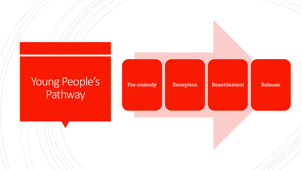# Young People's Pathway

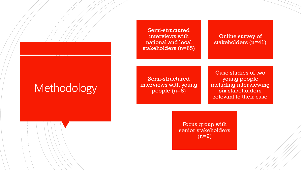Online survey of stakeholders (n=41)

Case studies of two young people including interviewing six stakeholders relevant to their case

Semi-structured interviews with young people (n=8)

Semi-structured interviews with national and local stakeholders (n=65)

> Focus group with senior stakeholders (n=9)

# Methodology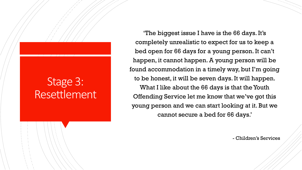# Stage 3: Resettlement

'The biggest issue I have is the 66 days. It's completely unrealistic to expect for us to keep a bed open for 66 days for a young person. It can't happen, it cannot happen. A young person will be found accommodation in a timely way, but I'm going to be honest, it will be seven days. It will happen. What I like about the 66 days is that the Youth Offending Service let me know that we've got this young person and we can start looking at it. But we cannot secure a bed for 66 days.'

- Children's Services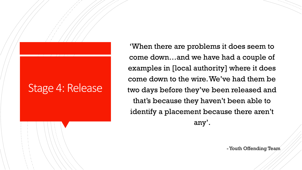## Stage 4: Release

'When there are problems it does seem to come down…and we have had a couple of examples in [local authority] where it does come down to the wire. We've had them be two days before they've been released and that's because they haven't been able to identify a placement because there aren't any'.

-Youth Offending Team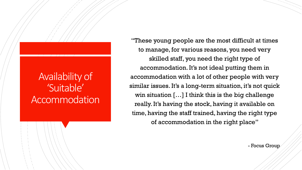"These young people are the most difficult at times to manage, for various reasons, you need very skilled staff, you need the right type of accommodation. It's not ideal putting them in accommodation with a lot of other people with very similar issues. It's a long-term situation, it's not quick win situation […] I think this is the big challenge really. It's having the stock, having it available on time, having the staff trained, having the right type of accommodation in the right place"

- Focus Group

### Availability of 'Suitable' Accommodation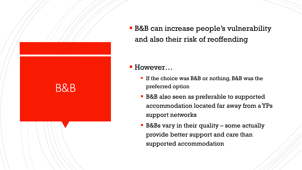

 B&B can increase people's vulnerability and also their risk of reoffending

### ■ However...

- **If the choice was B&B or nothing, B&B was the** preferred option
- **B&B** also seen as preferable to supported accommodation located far away from a YPs support networks
- **B&Bs vary in their quality some actually** provide better support and care than supported accommodation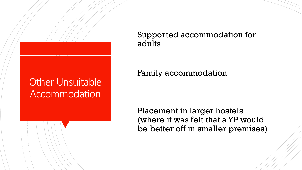## Other Unsuitable **Accommodation**

### Supported accommodation for adults

### Family accommodation

Placement in larger hostels (where it was felt that a YP would be better off in smaller premises)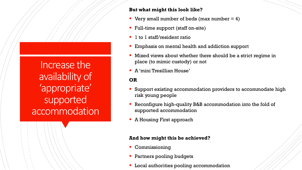Increase the availability of 'appropriate' supported accommodation

### **But what might this look like?**

- Very small number of beds (max number  $= 4$ )
- Full-time support (staff on-site)
- 1 to 1 staff/resident ratio
- **Emphasis on mental health and addiction support**
- Mixed views about whether there should be a strict regime in place (to mimic custody) or not
- A 'mini Tresillian House'

### **OR**

- Support existing accommodation providers to accommodate high risk young people
- Reconfigure high-quality B&B accommodation into the fold of supported accommodation
- **A Housing First approach**

#### **And how might this be achieved?**

- **Commissioning**
- **Partners pooling budgets**
- **Local authorities pooling accommodation**